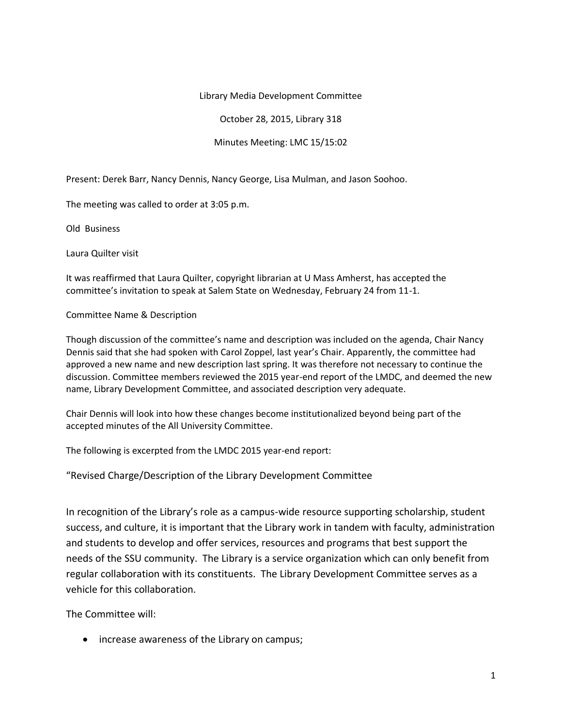## Library Media Development Committee

October 28, 2015, Library 318

## Minutes Meeting: LMC 15/15:02

Present: Derek Barr, Nancy Dennis, Nancy George, Lisa Mulman, and Jason Soohoo.

The meeting was called to order at 3:05 p.m.

Old Business

Laura Quilter visit

It was reaffirmed that Laura Quilter, copyright librarian at U Mass Amherst, has accepted the committee's invitation to speak at Salem State on Wednesday, February 24 from 11-1.

Committee Name & Description

Though discussion of the committee's name and description was included on the agenda, Chair Nancy Dennis said that she had spoken with Carol Zoppel, last year's Chair. Apparently, the committee had approved a new name and new description last spring. It was therefore not necessary to continue the discussion. Committee members reviewed the 2015 year-end report of the LMDC, and deemed the new name, Library Development Committee, and associated description very adequate.

Chair Dennis will look into how these changes become institutionalized beyond being part of the accepted minutes of the All University Committee.

The following is excerpted from the LMDC 2015 year-end report:

"Revised Charge/Description of the Library Development Committee

In recognition of the Library's role as a campus-wide resource supporting scholarship, student success, and culture, it is important that the Library work in tandem with faculty, administration and students to develop and offer services, resources and programs that best support the needs of the SSU community. The Library is a service organization which can only benefit from regular collaboration with its constituents. The Library Development Committee serves as a vehicle for this collaboration.

The Committee will:

• increase awareness of the Library on campus;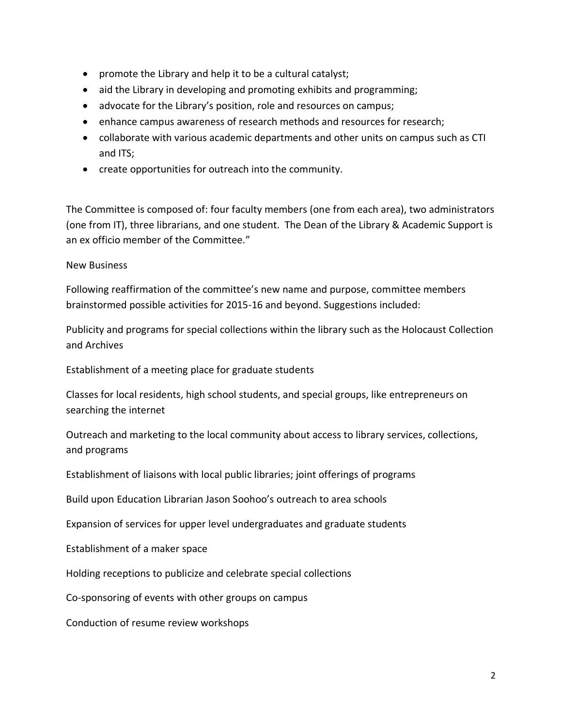- promote the Library and help it to be a cultural catalyst;
- aid the Library in developing and promoting exhibits and programming;
- advocate for the Library's position, role and resources on campus;
- enhance campus awareness of research methods and resources for research;
- collaborate with various academic departments and other units on campus such as CTI and ITS;
- create opportunities for outreach into the community.

The Committee is composed of: four faculty members (one from each area), two administrators (one from IT), three librarians, and one student. The Dean of the Library & Academic Support is an ex officio member of the Committee."

New Business

Following reaffirmation of the committee's new name and purpose, committee members brainstormed possible activities for 2015-16 and beyond. Suggestions included:

Publicity and programs for special collections within the library such as the Holocaust Collection and Archives

Establishment of a meeting place for graduate students

Classes for local residents, high school students, and special groups, like entrepreneurs on searching the internet

Outreach and marketing to the local community about access to library services, collections, and programs

Establishment of liaisons with local public libraries; joint offerings of programs

Build upon Education Librarian Jason Soohoo's outreach to area schools

Expansion of services for upper level undergraduates and graduate students

Establishment of a maker space

Holding receptions to publicize and celebrate special collections

Co-sponsoring of events with other groups on campus

Conduction of resume review workshops